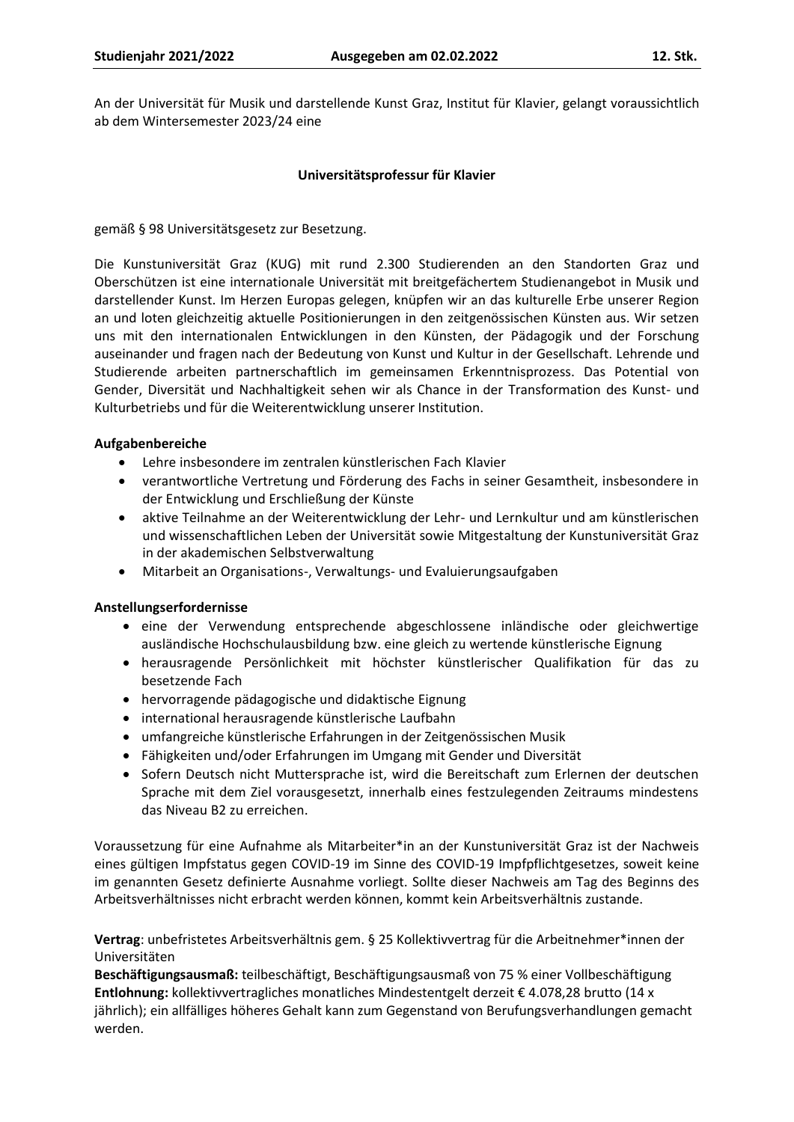An der Universität für Musik und darstellende Kunst Graz, Institut für Klavier, gelangt voraussichtlich ab dem Wintersemester 2023/24 eine

### **Universitätsprofessur für Klavier**

gemäß § 98 Universitätsgesetz zur Besetzung.

Die Kunstuniversität Graz (KUG) mit rund 2.300 Studierenden an den Standorten Graz und Oberschützen ist eine internationale Universität mit breitgefächertem Studienangebot in Musik und darstellender Kunst. Im Herzen Europas gelegen, knüpfen wir an das kulturelle Erbe unserer Region an und loten gleichzeitig aktuelle Positionierungen in den zeitgenössischen Künsten aus. Wir setzen uns mit den internationalen Entwicklungen in den Künsten, der Pädagogik und der Forschung auseinander und fragen nach der Bedeutung von Kunst und Kultur in der Gesellschaft. Lehrende und Studierende arbeiten partnerschaftlich im gemeinsamen Erkenntnisprozess. Das Potential von Gender, Diversität und Nachhaltigkeit sehen wir als Chance in der Transformation des Kunst- und Kulturbetriebs und für die Weiterentwicklung unserer Institution.

### **Aufgabenbereiche**

- Lehre insbesondere im zentralen künstlerischen Fach Klavier
- verantwortliche Vertretung und Förderung des Fachs in seiner Gesamtheit, insbesondere in der Entwicklung und Erschließung der Künste
- aktive Teilnahme an der Weiterentwicklung der Lehr- und Lernkultur und am künstlerischen und wissenschaftlichen Leben der Universität sowie Mitgestaltung der Kunstuniversität Graz in der akademischen Selbstverwaltung
- Mitarbeit an Organisations-, Verwaltungs- und Evaluierungsaufgaben

### **Anstellungserfordernisse**

- eine der Verwendung entsprechende abgeschlossene inländische oder gleichwertige ausländische Hochschulausbildung bzw. eine gleich zu wertende künstlerische Eignung
- herausragende Persönlichkeit mit höchster künstlerischer Qualifikation für das zu besetzende Fach
- hervorragende pädagogische und didaktische Eignung
- international herausragende künstlerische Laufbahn
- umfangreiche künstlerische Erfahrungen in der Zeitgenössischen Musik
- Fähigkeiten und/oder Erfahrungen im Umgang mit Gender und Diversität
- Sofern Deutsch nicht Muttersprache ist, wird die Bereitschaft zum Erlernen der deutschen Sprache mit dem Ziel vorausgesetzt, innerhalb eines festzulegenden Zeitraums mindestens das Niveau B2 zu erreichen.

Voraussetzung für eine Aufnahme als Mitarbeiter\*in an der Kunstuniversität Graz ist der Nachweis eines gültigen Impfstatus gegen COVID-19 im Sinne des COVID-19 Impfpflichtgesetzes, soweit keine im genannten Gesetz definierte Ausnahme vorliegt. Sollte dieser Nachweis am Tag des Beginns des Arbeitsverhältnisses nicht erbracht werden können, kommt kein Arbeitsverhältnis zustande.

**Vertrag**: unbefristetes Arbeitsverhältnis gem. § 25 Kollektivvertrag für die Arbeitnehmer\*innen der Universitäten

**Beschäftigungsausmaß:** teilbeschäftigt, Beschäftigungsausmaß von 75 % einer Vollbeschäftigung **Entlohnung:** kollektivvertragliches monatliches Mindestentgelt derzeit € 4.078,28 brutto (14 x jährlich); ein allfälliges höheres Gehalt kann zum Gegenstand von Berufungsverhandlungen gemacht werden.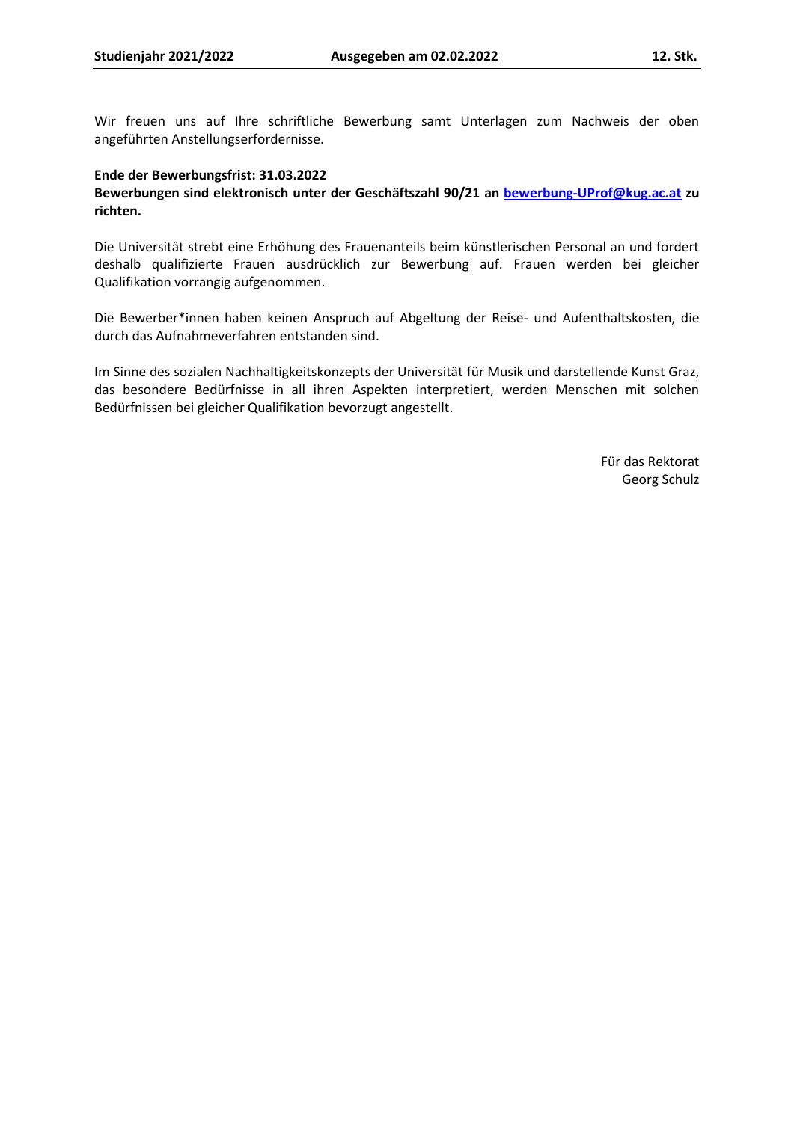Wir freuen uns auf Ihre schriftliche Bewerbung samt Unterlagen zum Nachweis der oben angeführten Anstellungserfordernisse.

#### **Ende der Bewerbungsfrist: 31.03.2022**

# **Bewerbungen sind elektronisch unter der Geschäftszahl 90/21 an [bewerbung-UProf@kug.ac.at](mailto:bewerbung-UProf@kug.ac.at) zu richten.**

Die Universität strebt eine Erhöhung des Frauenanteils beim künstlerischen Personal an und fordert deshalb qualifizierte Frauen ausdrücklich zur Bewerbung auf. Frauen werden bei gleicher Qualifikation vorrangig aufgenommen.

Die Bewerber\*innen haben keinen Anspruch auf Abgeltung der Reise- und Aufenthaltskosten, die durch das Aufnahmeverfahren entstanden sind.

Im Sinne des sozialen Nachhaltigkeitskonzepts der Universität für Musik und darstellende Kunst Graz, das besondere Bedürfnisse in all ihren Aspekten interpretiert, werden Menschen mit solchen Bedürfnissen bei gleicher Qualifikation bevorzugt angestellt.

> Für das Rektorat Georg Schulz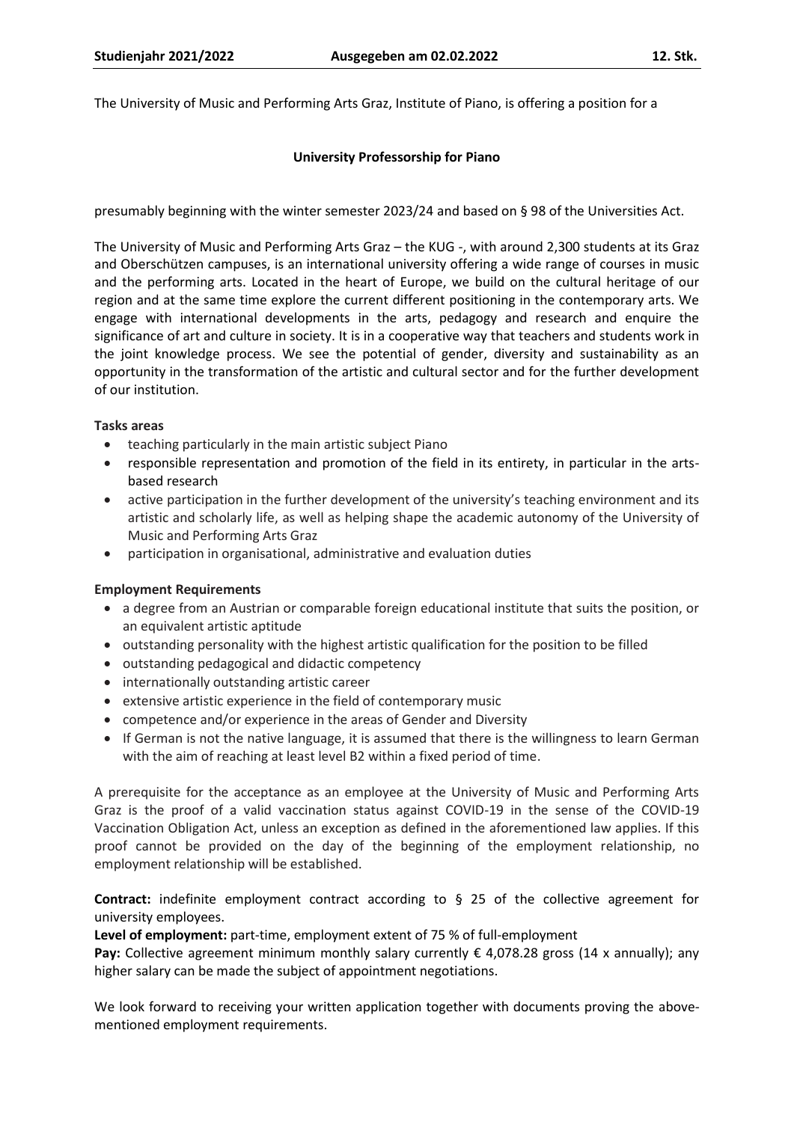The University of Music and Performing Arts Graz, Institute of Piano, is offering a position for a

### **University Professorship for Piano**

presumably beginning with the winter semester 2023/24 and based on § 98 of the Universities Act.

The University of Music and Performing Arts Graz – the KUG -, with around 2,300 students at its Graz and Oberschützen campuses, is an international university offering a wide range of courses in music and the performing arts. Located in the heart of Europe, we build on the cultural heritage of our region and at the same time explore the current different positioning in the contemporary arts. We engage with international developments in the arts, pedagogy and research and enquire the significance of art and culture in society. It is in a cooperative way that teachers and students work in the joint knowledge process. We see the potential of gender, diversity and sustainability as an opportunity in the transformation of the artistic and cultural sector and for the further development of our institution.

#### **Tasks areas**

- teaching particularly in the main artistic subject Piano
- responsible representation and promotion of the field in its entirety, in particular in the artsbased research
- active participation in the further development of the university's teaching environment and its artistic and scholarly life, as well as helping shape the academic autonomy of the University of Music and Performing Arts Graz
- participation in organisational, administrative and evaluation duties

### **Employment Requirements**

- a degree from an Austrian or comparable foreign educational institute that suits the position, or an equivalent artistic aptitude
- outstanding personality with the highest artistic qualification for the position to be filled
- outstanding pedagogical and didactic competency
- internationally outstanding artistic career
- extensive artistic experience in the field of contemporary music
- competence and/or experience in the areas of Gender and Diversity
- If German is not the native language, it is assumed that there is the willingness to learn German with the aim of reaching at least level B2 within a fixed period of time.

A prerequisite for the acceptance as an employee at the University of Music and Performing Arts Graz is the proof of a valid vaccination status against COVID-19 in the sense of the COVID-19 Vaccination Obligation Act, unless an exception as defined in the aforementioned law applies. If this proof cannot be provided on the day of the beginning of the employment relationship, no employment relationship will be established.

**Contract:** indefinite employment contract according to § 25 of the collective agreement for university employees.

**Level of employment:** part-time, employment extent of 75 % of full-employment

**Pay:** Collective agreement minimum monthly salary currently  $\epsilon$  4,078.28 gross (14 x annually); any higher salary can be made the subject of appointment negotiations.

We look forward to receiving your written application together with documents proving the abovementioned employment requirements.